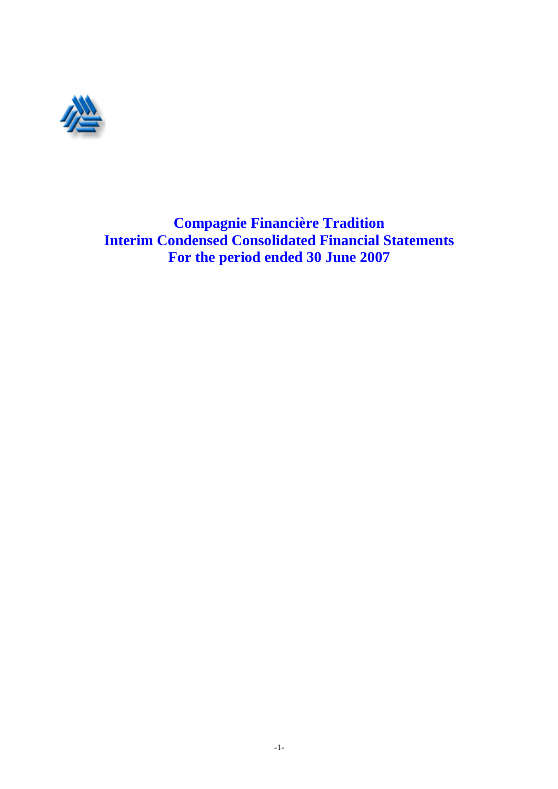

**Compagnie Financière Tradition Interim Condensed Consolidated Financial Statements For the period ended 30 June 2007**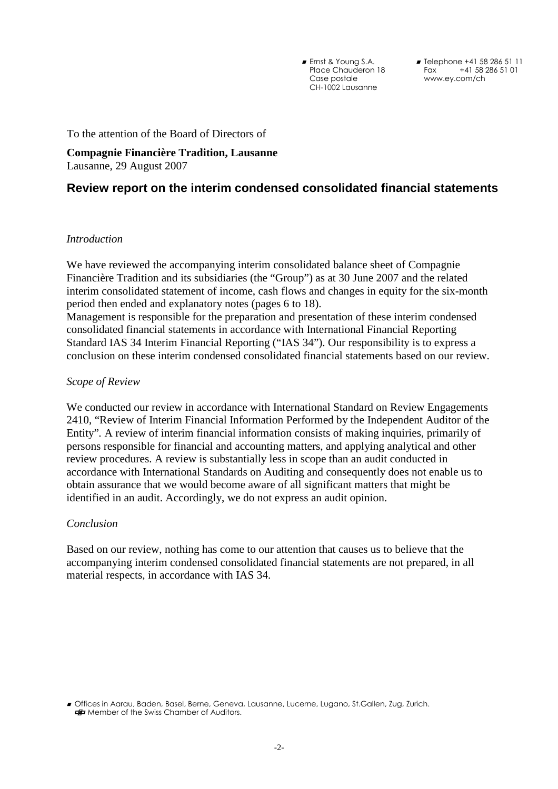■ Ernst & Young S.A. Place Chauderon 18 Case postale CH-1002 Lausanne

■ Telephone +41 58 286 51 11 Fax +41 58 286 51 01 www.ey.com/ch

To the attention of the Board of Directors of

**Compagnie Financière Tradition, Lausanne**  Lausanne, 29 August 2007

# **Review report on the interim condensed consolidated financial statements**

## *Introduction*

We have reviewed the accompanying interim consolidated balance sheet of Compagnie Financière Tradition and its subsidiaries (the "Group") as at 30 June 2007 and the related interim consolidated statement of income, cash flows and changes in equity for the six-month period then ended and explanatory notes (pages 6 to 18).

Management is responsible for the preparation and presentation of these interim condensed consolidated financial statements in accordance with International Financial Reporting Standard IAS 34 Interim Financial Reporting ("IAS 34"). Our responsibility is to express a conclusion on these interim condensed consolidated financial statements based on our review.

### *Scope of Review*

We conducted our review in accordance with International Standard on Review Engagements 2410, "Review of Interim Financial Information Performed by the Independent Auditor of the Entity"*.* A review of interim financial information consists of making inquiries, primarily of persons responsible for financial and accounting matters, and applying analytical and other review procedures. A review is substantially less in scope than an audit conducted in accordance with International Standards on Auditing and consequently does not enable us to obtain assurance that we would become aware of all significant matters that might be identified in an audit. Accordingly, we do not express an audit opinion.

## *Conclusion*

Based on our review, nothing has come to our attention that causes us to believe that the accompanying interim condensed consolidated financial statements are not prepared, in all material respects, in accordance with IAS 34.

<sup>-</sup> Offices in Aarau, Baden, Basel, Berne, Geneva, Lausanne, Lucerne, Lugano, St.Gallen, Zug, Zurich. **EF** Member of the Swiss Chamber of Auditors.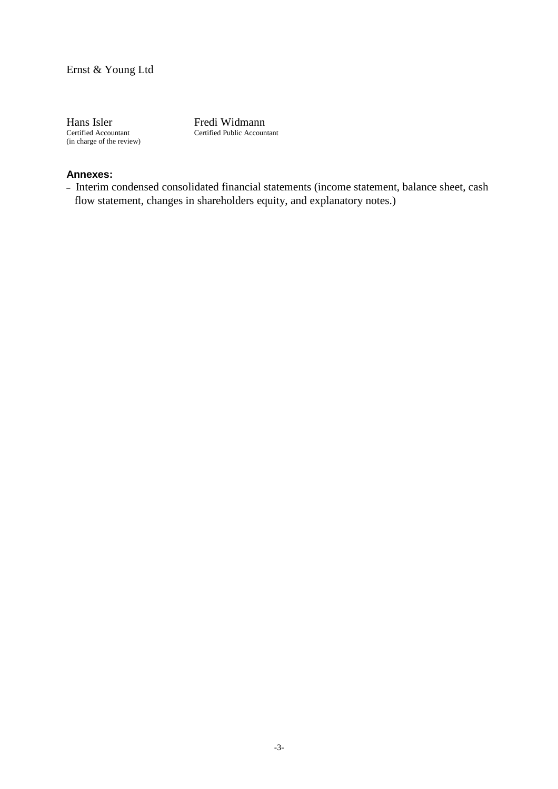Certified Accountant (in charge of the review)

Hans Isler Fredi Widmann Certified Public Accountant

# **Annexes:**

– Interim condensed consolidated financial statements (income statement, balance sheet, cash flow statement, changes in shareholders equity, and explanatory notes.)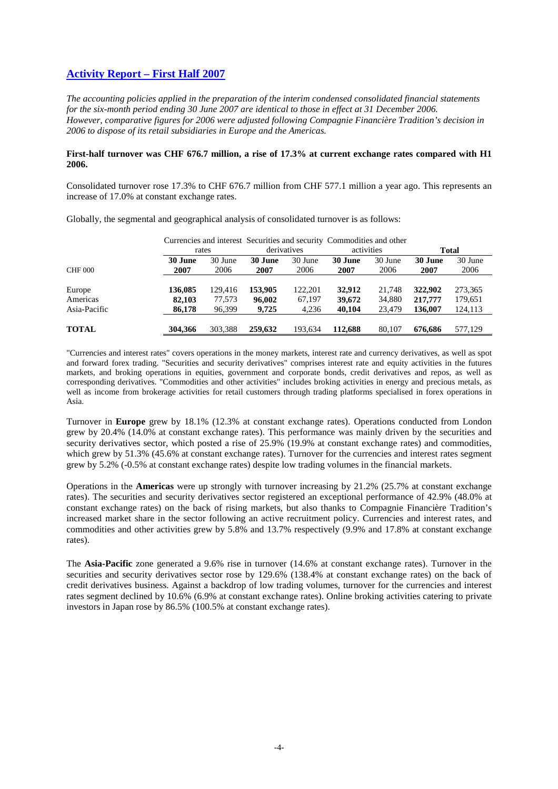# **Activity Report – First Half 2007**

*The accounting policies applied in the preparation of the interim condensed consolidated financial statements for the six-month period ending 30 June 2007 are identical to those in effect at 31 December 2006. However, comparative figures for 2006 were adjusted following Compagnie Financière Tradition's decision in 2006 to dispose of its retail subsidiaries in Europe and the Americas.*

#### **First-half turnover was CHF 676.7 million, a rise of 17.3% at current exchange rates compared with H1 2006.**

Consolidated turnover rose 17.3% to CHF 676.7 million from CHF 577.1 million a year ago. This represents an increase of 17.0% at constant exchange rates.

|                          | rates            |                  | Currencies and interest Securities and security Commodities and other | derivatives     | activities       |                  |                    | <b>Total</b>       |
|--------------------------|------------------|------------------|-----------------------------------------------------------------------|-----------------|------------------|------------------|--------------------|--------------------|
| <b>CHF 000</b>           | 30 June<br>2007  | 30 June<br>2006  | 30 June<br>2007                                                       | 30 June<br>2006 | 30 June<br>2007  | 30 June<br>2006  | 30 June<br>2007    | 30 June<br>2006    |
| Europe                   | 136,085          | 129,416          | 153,905                                                               | 122,201         | 32,912           | 21,748           | 322,902            | 273,365            |
| Americas<br>Asia-Pacific | 82,103<br>86,178 | 77,573<br>96,399 | 96,002<br>9,725                                                       | 67,197<br>4,236 | 39,672<br>40,104 | 34,880<br>23,479 | 217,777<br>136,007 | 179,651<br>124,113 |
| <b>TOTAL</b>             | 304,366          | 303,388          | 259,632                                                               | 193,634         | 112,688          | 80,107           | 676.686            | 577,129            |

Globally, the segmental and geographical analysis of consolidated turnover is as follows:

"Currencies and interest rates" covers operations in the money markets, interest rate and currency derivatives, as well as spot and forward forex trading. "Securities and security derivatives" comprises interest rate and equity activities in the futures markets, and broking operations in equities, government and corporate bonds, credit derivatives and repos, as well as corresponding derivatives. "Commodities and other activities" includes broking activities in energy and precious metals, as well as income from brokerage activities for retail customers through trading platforms specialised in forex operations in Asia.

Turnover in **Europe** grew by 18.1% (12.3% at constant exchange rates). Operations conducted from London grew by 20.4% (14.0% at constant exchange rates). This performance was mainly driven by the securities and security derivatives sector, which posted a rise of 25.9% (19.9% at constant exchange rates) and commodities, which grew by 51.3% (45.6% at constant exchange rates). Turnover for the currencies and interest rates segment grew by 5.2% (-0.5% at constant exchange rates) despite low trading volumes in the financial markets.

Operations in the **Americas** were up strongly with turnover increasing by 21.2% (25.7% at constant exchange rates). The securities and security derivatives sector registered an exceptional performance of 42.9% (48.0% at constant exchange rates) on the back of rising markets, but also thanks to Compagnie Financière Tradition's increased market share in the sector following an active recruitment policy. Currencies and interest rates, and commodities and other activities grew by 5.8% and 13.7% respectively (9.9% and 17.8% at constant exchange rates).

The **Asia-Pacific** zone generated a 9.6% rise in turnover (14.6% at constant exchange rates). Turnover in the securities and security derivatives sector rose by 129.6% (138.4% at constant exchange rates) on the back of credit derivatives business. Against a backdrop of low trading volumes, turnover for the currencies and interest rates segment declined by 10.6% (6.9% at constant exchange rates). Online broking activities catering to private investors in Japan rose by 86.5% (100.5% at constant exchange rates).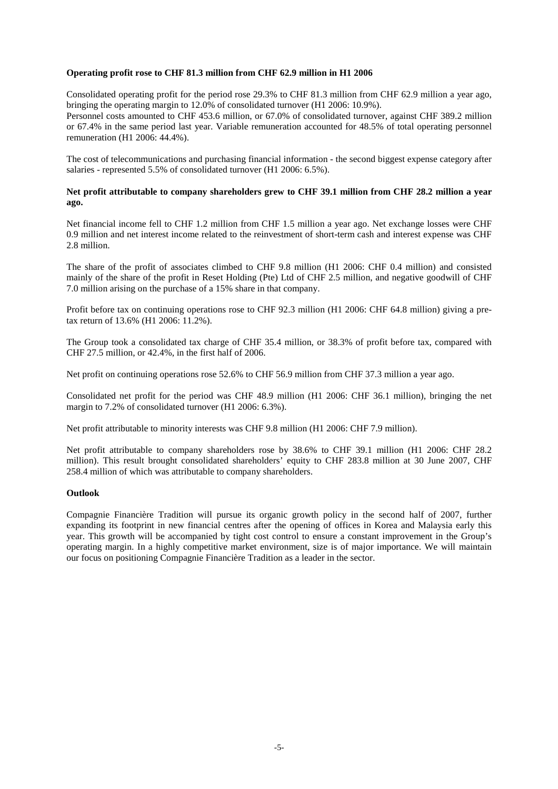#### **Operating profit rose to CHF 81.3 million from CHF 62.9 million in H1 2006**

Consolidated operating profit for the period rose 29.3% to CHF 81.3 million from CHF 62.9 million a year ago, bringing the operating margin to 12.0% of consolidated turnover (H1 2006: 10.9%).

Personnel costs amounted to CHF 453.6 million, or 67.0% of consolidated turnover, against CHF 389.2 million or 67.4% in the same period last year. Variable remuneration accounted for 48.5% of total operating personnel remuneration (H1 2006: 44.4%).

The cost of telecommunications and purchasing financial information - the second biggest expense category after salaries - represented 5.5% of consolidated turnover (H1 2006: 6.5%).

#### **Net profit attributable to company shareholders grew to CHF 39.1 million from CHF 28.2 million a year ago.**

Net financial income fell to CHF 1.2 million from CHF 1.5 million a year ago. Net exchange losses were CHF 0.9 million and net interest income related to the reinvestment of short-term cash and interest expense was CHF 2.8 million.

The share of the profit of associates climbed to CHF 9.8 million (H1 2006: CHF 0.4 million) and consisted mainly of the share of the profit in Reset Holding (Pte) Ltd of CHF 2.5 million, and negative goodwill of CHF 7.0 million arising on the purchase of a 15% share in that company.

Profit before tax on continuing operations rose to CHF 92.3 million (H1 2006: CHF 64.8 million) giving a pretax return of 13.6% (H1 2006: 11.2%).

The Group took a consolidated tax charge of CHF 35.4 million, or 38.3% of profit before tax, compared with CHF 27.5 million, or 42.4%, in the first half of 2006.

Net profit on continuing operations rose 52.6% to CHF 56.9 million from CHF 37.3 million a year ago.

Consolidated net profit for the period was CHF 48.9 million (H1 2006: CHF 36.1 million), bringing the net margin to 7.2% of consolidated turnover (H1 2006: 6.3%).

Net profit attributable to minority interests was CHF 9.8 million (H1 2006: CHF 7.9 million).

Net profit attributable to company shareholders rose by 38.6% to CHF 39.1 million (H1 2006: CHF 28.2 million). This result brought consolidated shareholders' equity to CHF 283.8 million at 30 June 2007, CHF 258.4 million of which was attributable to company shareholders.

#### **Outlook**

Compagnie Financière Tradition will pursue its organic growth policy in the second half of 2007, further expanding its footprint in new financial centres after the opening of offices in Korea and Malaysia early this year. This growth will be accompanied by tight cost control to ensure a constant improvement in the Group's operating margin. In a highly competitive market environment, size is of major importance. We will maintain our focus on positioning Compagnie Financière Tradition as a leader in the sector.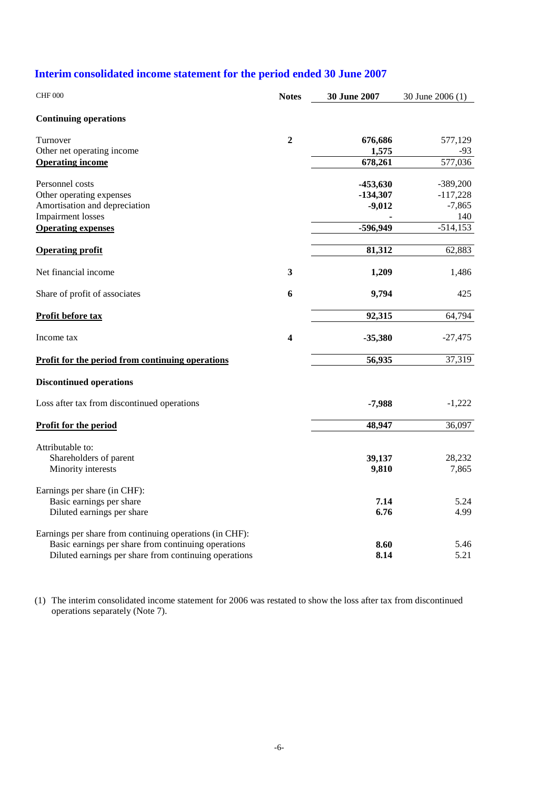# **Interim consolidated income statement for the period ended 30 June 2007**

| <b>CHF 000</b>                                          | <b>Notes</b>            | 30 June 2007 | 30 June 2006 (1) |
|---------------------------------------------------------|-------------------------|--------------|------------------|
| <b>Continuing operations</b>                            |                         |              |                  |
| Turnover                                                | $\mathbf{2}$            | 676,686      | 577,129          |
| Other net operating income                              |                         | 1,575        | -93              |
| <b>Operating income</b>                                 |                         | 678,261      | 577,036          |
| Personnel costs                                         |                         | $-453,630$   | $-389,200$       |
| Other operating expenses                                |                         | $-134,307$   | $-117,228$       |
| Amortisation and depreciation                           |                         | $-9,012$     | $-7,865$         |
| <b>Impairment</b> losses                                |                         |              | 140              |
| <b>Operating expenses</b>                               |                         | -596,949     | $-514, 153$      |
| <b>Operating profit</b>                                 |                         | 81,312       | 62,883           |
| Net financial income                                    | 3                       | 1,209        | 1,486            |
| Share of profit of associates                           | 6                       | 9,794        | 425              |
| Profit before tax                                       |                         | 92,315       | 64,794           |
| Income tax                                              | $\overline{\mathbf{4}}$ | $-35,380$    | $-27,475$        |
| <b>Profit for the period from continuing operations</b> |                         | 56,935       | 37,319           |
| <b>Discontinued operations</b>                          |                         |              |                  |
| Loss after tax from discontinued operations             |                         | $-7,988$     | $-1,222$         |
| Profit for the period                                   |                         | 48,947       | 36,097           |
| Attributable to:                                        |                         |              |                  |
| Shareholders of parent                                  |                         | 39,137       | 28,232           |
| Minority interests                                      |                         | 9,810        | 7,865            |
| Earnings per share (in CHF):                            |                         |              |                  |
| Basic earnings per share                                |                         | 7.14         | 5.24             |
| Diluted earnings per share                              |                         | 6.76         | 4.99             |
| Earnings per share from continuing operations (in CHF): |                         |              |                  |
| Basic earnings per share from continuing operations     |                         | 8.60         | 5.46             |
| Diluted earnings per share from continuing operations   |                         | 8.14         | 5.21             |

(1) The interim consolidated income statement for 2006 was restated to show the loss after tax from discontinued operations separately (Note 7).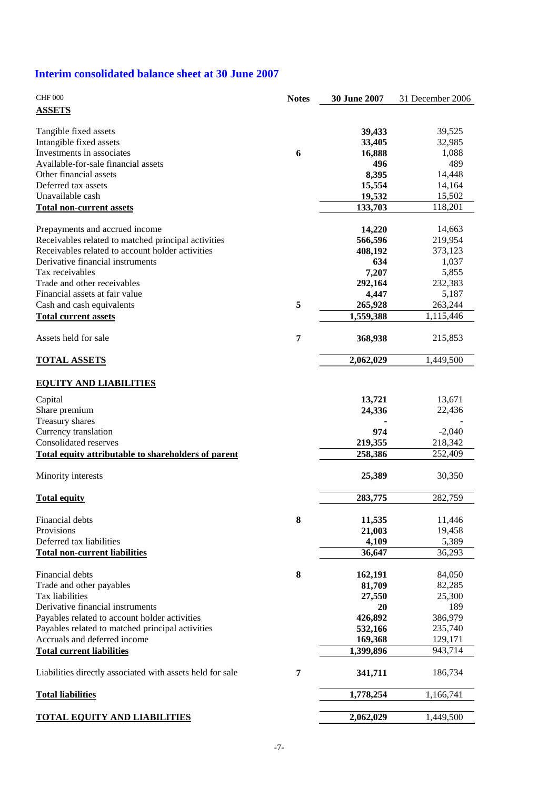# **Interim consolidated balance sheet at 30 June 2007**

| <b>ASSETS</b><br>Tangible fixed assets<br>39,433<br>39,525<br>Intangible fixed assets<br>33,405<br>32,985<br>Investments in associates<br>6<br>16,888<br>1,088<br>Available-for-sale financial assets<br>489<br>496<br>8,395<br>Other financial assets<br>14,448<br>Deferred tax assets<br>15,554<br>14,164<br>Unavailable cash<br>19,532<br>15,502<br>118,201<br>133,703<br><b>Total non-current assets</b><br>Prepayments and accrued income<br>14,220<br>14,663<br>Receivables related to matched principal activities<br>566,596<br>219,954<br>Receivables related to account holder activities<br>373,123<br>408,192<br>Derivative financial instruments<br>634<br>1,037<br>Tax receivables<br>7,207<br>5,855<br>Trade and other receivables<br>292,164<br>232,383<br>Financial assets at fair value<br>4,447<br>5,187<br>Cash and cash equivalents<br>5<br>265,928<br>263,244<br>1,559,388<br><b>Total current assets</b><br>1,115,446<br>Assets held for sale<br>7<br>368,938<br>215,853<br>2,062,029<br>1,449,500<br><b>TOTAL ASSETS</b><br><b>EQUITY AND LIABILITIES</b><br>Capital<br>13,671<br>13,721<br>24,336<br>Share premium<br>22,436<br>Treasury shares<br>Currency translation<br>974<br>$-2,040$<br>Consolidated reserves<br>219,355<br>218,342<br>258,386<br>252,409<br>Total equity attributable to shareholders of parent<br>Minority interests<br>25,389<br>30,350<br>282,759<br><b>Total equity</b><br>283,775<br>8<br>11,535<br>Financial debts<br>11,446<br>Provisions<br>21,003<br>19,458<br>Deferred tax liabilities<br>4,109<br>5,389<br>36,293<br><b>Total non-current liabilities</b><br>36,647<br>8<br>162,191<br>84,050<br>Trade and other payables<br>81,709<br>82,285<br>Tax liabilities<br>25,300<br>27,550<br>189<br>Derivative financial instruments<br>20<br>426,892<br>Payables related to account holder activities<br>386,979<br>Payables related to matched principal activities<br>235,740<br>532,166<br>Accruals and deferred income<br>169,368<br>129,171<br>1,399,896<br>943,714<br><b>Total current liabilities</b><br>7<br>341,711<br>186,734<br><b>Total liabilities</b><br>1,778,254<br>1,166,741<br>2,062,029<br>1,449,500<br><u>TOTAL EQUITY AND LIABILITIES</u> | <b>CHF 000</b>                                            | <b>Notes</b> | 30 June 2007 | 31 December 2006 |
|-----------------------------------------------------------------------------------------------------------------------------------------------------------------------------------------------------------------------------------------------------------------------------------------------------------------------------------------------------------------------------------------------------------------------------------------------------------------------------------------------------------------------------------------------------------------------------------------------------------------------------------------------------------------------------------------------------------------------------------------------------------------------------------------------------------------------------------------------------------------------------------------------------------------------------------------------------------------------------------------------------------------------------------------------------------------------------------------------------------------------------------------------------------------------------------------------------------------------------------------------------------------------------------------------------------------------------------------------------------------------------------------------------------------------------------------------------------------------------------------------------------------------------------------------------------------------------------------------------------------------------------------------------------------------------------------------------------------------------------------------------------------------------------------------------------------------------------------------------------------------------------------------------------------------------------------------------------------------------------------------------------------------------------------------------------------------------------------------------------------------------------------------------------------------------------------------------------------------|-----------------------------------------------------------|--------------|--------------|------------------|
|                                                                                                                                                                                                                                                                                                                                                                                                                                                                                                                                                                                                                                                                                                                                                                                                                                                                                                                                                                                                                                                                                                                                                                                                                                                                                                                                                                                                                                                                                                                                                                                                                                                                                                                                                                                                                                                                                                                                                                                                                                                                                                                                                                                                                       |                                                           |              |              |                  |
|                                                                                                                                                                                                                                                                                                                                                                                                                                                                                                                                                                                                                                                                                                                                                                                                                                                                                                                                                                                                                                                                                                                                                                                                                                                                                                                                                                                                                                                                                                                                                                                                                                                                                                                                                                                                                                                                                                                                                                                                                                                                                                                                                                                                                       |                                                           |              |              |                  |
|                                                                                                                                                                                                                                                                                                                                                                                                                                                                                                                                                                                                                                                                                                                                                                                                                                                                                                                                                                                                                                                                                                                                                                                                                                                                                                                                                                                                                                                                                                                                                                                                                                                                                                                                                                                                                                                                                                                                                                                                                                                                                                                                                                                                                       |                                                           |              |              |                  |
|                                                                                                                                                                                                                                                                                                                                                                                                                                                                                                                                                                                                                                                                                                                                                                                                                                                                                                                                                                                                                                                                                                                                                                                                                                                                                                                                                                                                                                                                                                                                                                                                                                                                                                                                                                                                                                                                                                                                                                                                                                                                                                                                                                                                                       |                                                           |              |              |                  |
|                                                                                                                                                                                                                                                                                                                                                                                                                                                                                                                                                                                                                                                                                                                                                                                                                                                                                                                                                                                                                                                                                                                                                                                                                                                                                                                                                                                                                                                                                                                                                                                                                                                                                                                                                                                                                                                                                                                                                                                                                                                                                                                                                                                                                       |                                                           |              |              |                  |
|                                                                                                                                                                                                                                                                                                                                                                                                                                                                                                                                                                                                                                                                                                                                                                                                                                                                                                                                                                                                                                                                                                                                                                                                                                                                                                                                                                                                                                                                                                                                                                                                                                                                                                                                                                                                                                                                                                                                                                                                                                                                                                                                                                                                                       |                                                           |              |              |                  |
|                                                                                                                                                                                                                                                                                                                                                                                                                                                                                                                                                                                                                                                                                                                                                                                                                                                                                                                                                                                                                                                                                                                                                                                                                                                                                                                                                                                                                                                                                                                                                                                                                                                                                                                                                                                                                                                                                                                                                                                                                                                                                                                                                                                                                       |                                                           |              |              |                  |
|                                                                                                                                                                                                                                                                                                                                                                                                                                                                                                                                                                                                                                                                                                                                                                                                                                                                                                                                                                                                                                                                                                                                                                                                                                                                                                                                                                                                                                                                                                                                                                                                                                                                                                                                                                                                                                                                                                                                                                                                                                                                                                                                                                                                                       |                                                           |              |              |                  |
|                                                                                                                                                                                                                                                                                                                                                                                                                                                                                                                                                                                                                                                                                                                                                                                                                                                                                                                                                                                                                                                                                                                                                                                                                                                                                                                                                                                                                                                                                                                                                                                                                                                                                                                                                                                                                                                                                                                                                                                                                                                                                                                                                                                                                       |                                                           |              |              |                  |
|                                                                                                                                                                                                                                                                                                                                                                                                                                                                                                                                                                                                                                                                                                                                                                                                                                                                                                                                                                                                                                                                                                                                                                                                                                                                                                                                                                                                                                                                                                                                                                                                                                                                                                                                                                                                                                                                                                                                                                                                                                                                                                                                                                                                                       |                                                           |              |              |                  |
|                                                                                                                                                                                                                                                                                                                                                                                                                                                                                                                                                                                                                                                                                                                                                                                                                                                                                                                                                                                                                                                                                                                                                                                                                                                                                                                                                                                                                                                                                                                                                                                                                                                                                                                                                                                                                                                                                                                                                                                                                                                                                                                                                                                                                       |                                                           |              |              |                  |
|                                                                                                                                                                                                                                                                                                                                                                                                                                                                                                                                                                                                                                                                                                                                                                                                                                                                                                                                                                                                                                                                                                                                                                                                                                                                                                                                                                                                                                                                                                                                                                                                                                                                                                                                                                                                                                                                                                                                                                                                                                                                                                                                                                                                                       |                                                           |              |              |                  |
|                                                                                                                                                                                                                                                                                                                                                                                                                                                                                                                                                                                                                                                                                                                                                                                                                                                                                                                                                                                                                                                                                                                                                                                                                                                                                                                                                                                                                                                                                                                                                                                                                                                                                                                                                                                                                                                                                                                                                                                                                                                                                                                                                                                                                       |                                                           |              |              |                  |
|                                                                                                                                                                                                                                                                                                                                                                                                                                                                                                                                                                                                                                                                                                                                                                                                                                                                                                                                                                                                                                                                                                                                                                                                                                                                                                                                                                                                                                                                                                                                                                                                                                                                                                                                                                                                                                                                                                                                                                                                                                                                                                                                                                                                                       |                                                           |              |              |                  |
|                                                                                                                                                                                                                                                                                                                                                                                                                                                                                                                                                                                                                                                                                                                                                                                                                                                                                                                                                                                                                                                                                                                                                                                                                                                                                                                                                                                                                                                                                                                                                                                                                                                                                                                                                                                                                                                                                                                                                                                                                                                                                                                                                                                                                       |                                                           |              |              |                  |
|                                                                                                                                                                                                                                                                                                                                                                                                                                                                                                                                                                                                                                                                                                                                                                                                                                                                                                                                                                                                                                                                                                                                                                                                                                                                                                                                                                                                                                                                                                                                                                                                                                                                                                                                                                                                                                                                                                                                                                                                                                                                                                                                                                                                                       |                                                           |              |              |                  |
|                                                                                                                                                                                                                                                                                                                                                                                                                                                                                                                                                                                                                                                                                                                                                                                                                                                                                                                                                                                                                                                                                                                                                                                                                                                                                                                                                                                                                                                                                                                                                                                                                                                                                                                                                                                                                                                                                                                                                                                                                                                                                                                                                                                                                       |                                                           |              |              |                  |
|                                                                                                                                                                                                                                                                                                                                                                                                                                                                                                                                                                                                                                                                                                                                                                                                                                                                                                                                                                                                                                                                                                                                                                                                                                                                                                                                                                                                                                                                                                                                                                                                                                                                                                                                                                                                                                                                                                                                                                                                                                                                                                                                                                                                                       |                                                           |              |              |                  |
|                                                                                                                                                                                                                                                                                                                                                                                                                                                                                                                                                                                                                                                                                                                                                                                                                                                                                                                                                                                                                                                                                                                                                                                                                                                                                                                                                                                                                                                                                                                                                                                                                                                                                                                                                                                                                                                                                                                                                                                                                                                                                                                                                                                                                       |                                                           |              |              |                  |
|                                                                                                                                                                                                                                                                                                                                                                                                                                                                                                                                                                                                                                                                                                                                                                                                                                                                                                                                                                                                                                                                                                                                                                                                                                                                                                                                                                                                                                                                                                                                                                                                                                                                                                                                                                                                                                                                                                                                                                                                                                                                                                                                                                                                                       |                                                           |              |              |                  |
|                                                                                                                                                                                                                                                                                                                                                                                                                                                                                                                                                                                                                                                                                                                                                                                                                                                                                                                                                                                                                                                                                                                                                                                                                                                                                                                                                                                                                                                                                                                                                                                                                                                                                                                                                                                                                                                                                                                                                                                                                                                                                                                                                                                                                       |                                                           |              |              |                  |
|                                                                                                                                                                                                                                                                                                                                                                                                                                                                                                                                                                                                                                                                                                                                                                                                                                                                                                                                                                                                                                                                                                                                                                                                                                                                                                                                                                                                                                                                                                                                                                                                                                                                                                                                                                                                                                                                                                                                                                                                                                                                                                                                                                                                                       |                                                           |              |              |                  |
|                                                                                                                                                                                                                                                                                                                                                                                                                                                                                                                                                                                                                                                                                                                                                                                                                                                                                                                                                                                                                                                                                                                                                                                                                                                                                                                                                                                                                                                                                                                                                                                                                                                                                                                                                                                                                                                                                                                                                                                                                                                                                                                                                                                                                       |                                                           |              |              |                  |
|                                                                                                                                                                                                                                                                                                                                                                                                                                                                                                                                                                                                                                                                                                                                                                                                                                                                                                                                                                                                                                                                                                                                                                                                                                                                                                                                                                                                                                                                                                                                                                                                                                                                                                                                                                                                                                                                                                                                                                                                                                                                                                                                                                                                                       |                                                           |              |              |                  |
|                                                                                                                                                                                                                                                                                                                                                                                                                                                                                                                                                                                                                                                                                                                                                                                                                                                                                                                                                                                                                                                                                                                                                                                                                                                                                                                                                                                                                                                                                                                                                                                                                                                                                                                                                                                                                                                                                                                                                                                                                                                                                                                                                                                                                       |                                                           |              |              |                  |
|                                                                                                                                                                                                                                                                                                                                                                                                                                                                                                                                                                                                                                                                                                                                                                                                                                                                                                                                                                                                                                                                                                                                                                                                                                                                                                                                                                                                                                                                                                                                                                                                                                                                                                                                                                                                                                                                                                                                                                                                                                                                                                                                                                                                                       |                                                           |              |              |                  |
|                                                                                                                                                                                                                                                                                                                                                                                                                                                                                                                                                                                                                                                                                                                                                                                                                                                                                                                                                                                                                                                                                                                                                                                                                                                                                                                                                                                                                                                                                                                                                                                                                                                                                                                                                                                                                                                                                                                                                                                                                                                                                                                                                                                                                       |                                                           |              |              |                  |
|                                                                                                                                                                                                                                                                                                                                                                                                                                                                                                                                                                                                                                                                                                                                                                                                                                                                                                                                                                                                                                                                                                                                                                                                                                                                                                                                                                                                                                                                                                                                                                                                                                                                                                                                                                                                                                                                                                                                                                                                                                                                                                                                                                                                                       |                                                           |              |              |                  |
|                                                                                                                                                                                                                                                                                                                                                                                                                                                                                                                                                                                                                                                                                                                                                                                                                                                                                                                                                                                                                                                                                                                                                                                                                                                                                                                                                                                                                                                                                                                                                                                                                                                                                                                                                                                                                                                                                                                                                                                                                                                                                                                                                                                                                       |                                                           |              |              |                  |
|                                                                                                                                                                                                                                                                                                                                                                                                                                                                                                                                                                                                                                                                                                                                                                                                                                                                                                                                                                                                                                                                                                                                                                                                                                                                                                                                                                                                                                                                                                                                                                                                                                                                                                                                                                                                                                                                                                                                                                                                                                                                                                                                                                                                                       |                                                           |              |              |                  |
|                                                                                                                                                                                                                                                                                                                                                                                                                                                                                                                                                                                                                                                                                                                                                                                                                                                                                                                                                                                                                                                                                                                                                                                                                                                                                                                                                                                                                                                                                                                                                                                                                                                                                                                                                                                                                                                                                                                                                                                                                                                                                                                                                                                                                       |                                                           |              |              |                  |
|                                                                                                                                                                                                                                                                                                                                                                                                                                                                                                                                                                                                                                                                                                                                                                                                                                                                                                                                                                                                                                                                                                                                                                                                                                                                                                                                                                                                                                                                                                                                                                                                                                                                                                                                                                                                                                                                                                                                                                                                                                                                                                                                                                                                                       |                                                           |              |              |                  |
|                                                                                                                                                                                                                                                                                                                                                                                                                                                                                                                                                                                                                                                                                                                                                                                                                                                                                                                                                                                                                                                                                                                                                                                                                                                                                                                                                                                                                                                                                                                                                                                                                                                                                                                                                                                                                                                                                                                                                                                                                                                                                                                                                                                                                       |                                                           |              |              |                  |
|                                                                                                                                                                                                                                                                                                                                                                                                                                                                                                                                                                                                                                                                                                                                                                                                                                                                                                                                                                                                                                                                                                                                                                                                                                                                                                                                                                                                                                                                                                                                                                                                                                                                                                                                                                                                                                                                                                                                                                                                                                                                                                                                                                                                                       |                                                           |              |              |                  |
|                                                                                                                                                                                                                                                                                                                                                                                                                                                                                                                                                                                                                                                                                                                                                                                                                                                                                                                                                                                                                                                                                                                                                                                                                                                                                                                                                                                                                                                                                                                                                                                                                                                                                                                                                                                                                                                                                                                                                                                                                                                                                                                                                                                                                       |                                                           |              |              |                  |
|                                                                                                                                                                                                                                                                                                                                                                                                                                                                                                                                                                                                                                                                                                                                                                                                                                                                                                                                                                                                                                                                                                                                                                                                                                                                                                                                                                                                                                                                                                                                                                                                                                                                                                                                                                                                                                                                                                                                                                                                                                                                                                                                                                                                                       |                                                           |              |              |                  |
|                                                                                                                                                                                                                                                                                                                                                                                                                                                                                                                                                                                                                                                                                                                                                                                                                                                                                                                                                                                                                                                                                                                                                                                                                                                                                                                                                                                                                                                                                                                                                                                                                                                                                                                                                                                                                                                                                                                                                                                                                                                                                                                                                                                                                       |                                                           |              |              |                  |
|                                                                                                                                                                                                                                                                                                                                                                                                                                                                                                                                                                                                                                                                                                                                                                                                                                                                                                                                                                                                                                                                                                                                                                                                                                                                                                                                                                                                                                                                                                                                                                                                                                                                                                                                                                                                                                                                                                                                                                                                                                                                                                                                                                                                                       | Financial debts                                           |              |              |                  |
|                                                                                                                                                                                                                                                                                                                                                                                                                                                                                                                                                                                                                                                                                                                                                                                                                                                                                                                                                                                                                                                                                                                                                                                                                                                                                                                                                                                                                                                                                                                                                                                                                                                                                                                                                                                                                                                                                                                                                                                                                                                                                                                                                                                                                       |                                                           |              |              |                  |
|                                                                                                                                                                                                                                                                                                                                                                                                                                                                                                                                                                                                                                                                                                                                                                                                                                                                                                                                                                                                                                                                                                                                                                                                                                                                                                                                                                                                                                                                                                                                                                                                                                                                                                                                                                                                                                                                                                                                                                                                                                                                                                                                                                                                                       |                                                           |              |              |                  |
|                                                                                                                                                                                                                                                                                                                                                                                                                                                                                                                                                                                                                                                                                                                                                                                                                                                                                                                                                                                                                                                                                                                                                                                                                                                                                                                                                                                                                                                                                                                                                                                                                                                                                                                                                                                                                                                                                                                                                                                                                                                                                                                                                                                                                       |                                                           |              |              |                  |
|                                                                                                                                                                                                                                                                                                                                                                                                                                                                                                                                                                                                                                                                                                                                                                                                                                                                                                                                                                                                                                                                                                                                                                                                                                                                                                                                                                                                                                                                                                                                                                                                                                                                                                                                                                                                                                                                                                                                                                                                                                                                                                                                                                                                                       |                                                           |              |              |                  |
|                                                                                                                                                                                                                                                                                                                                                                                                                                                                                                                                                                                                                                                                                                                                                                                                                                                                                                                                                                                                                                                                                                                                                                                                                                                                                                                                                                                                                                                                                                                                                                                                                                                                                                                                                                                                                                                                                                                                                                                                                                                                                                                                                                                                                       |                                                           |              |              |                  |
|                                                                                                                                                                                                                                                                                                                                                                                                                                                                                                                                                                                                                                                                                                                                                                                                                                                                                                                                                                                                                                                                                                                                                                                                                                                                                                                                                                                                                                                                                                                                                                                                                                                                                                                                                                                                                                                                                                                                                                                                                                                                                                                                                                                                                       |                                                           |              |              |                  |
|                                                                                                                                                                                                                                                                                                                                                                                                                                                                                                                                                                                                                                                                                                                                                                                                                                                                                                                                                                                                                                                                                                                                                                                                                                                                                                                                                                                                                                                                                                                                                                                                                                                                                                                                                                                                                                                                                                                                                                                                                                                                                                                                                                                                                       |                                                           |              |              |                  |
|                                                                                                                                                                                                                                                                                                                                                                                                                                                                                                                                                                                                                                                                                                                                                                                                                                                                                                                                                                                                                                                                                                                                                                                                                                                                                                                                                                                                                                                                                                                                                                                                                                                                                                                                                                                                                                                                                                                                                                                                                                                                                                                                                                                                                       |                                                           |              |              |                  |
|                                                                                                                                                                                                                                                                                                                                                                                                                                                                                                                                                                                                                                                                                                                                                                                                                                                                                                                                                                                                                                                                                                                                                                                                                                                                                                                                                                                                                                                                                                                                                                                                                                                                                                                                                                                                                                                                                                                                                                                                                                                                                                                                                                                                                       | Liabilities directly associated with assets held for sale |              |              |                  |
|                                                                                                                                                                                                                                                                                                                                                                                                                                                                                                                                                                                                                                                                                                                                                                                                                                                                                                                                                                                                                                                                                                                                                                                                                                                                                                                                                                                                                                                                                                                                                                                                                                                                                                                                                                                                                                                                                                                                                                                                                                                                                                                                                                                                                       |                                                           |              |              |                  |
|                                                                                                                                                                                                                                                                                                                                                                                                                                                                                                                                                                                                                                                                                                                                                                                                                                                                                                                                                                                                                                                                                                                                                                                                                                                                                                                                                                                                                                                                                                                                                                                                                                                                                                                                                                                                                                                                                                                                                                                                                                                                                                                                                                                                                       |                                                           |              |              |                  |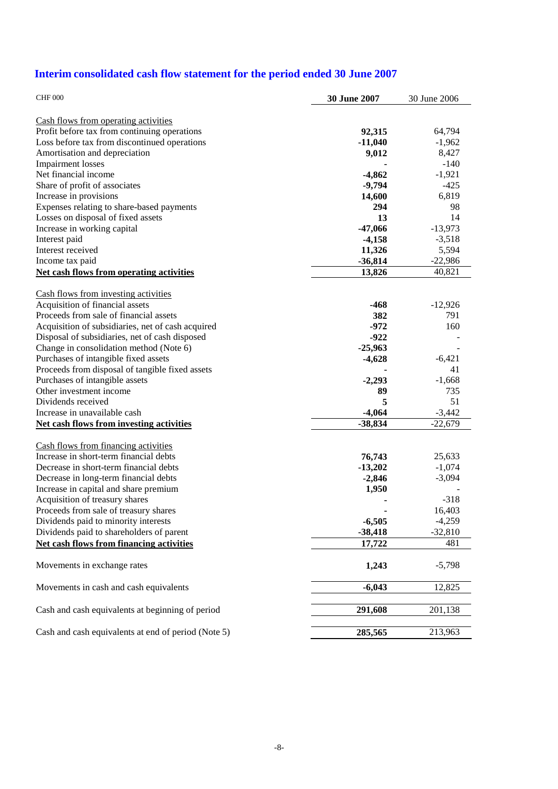# **Interim consolidated cash flow statement for the period ended 30 June 2007**

| <b>CHF 000</b>                                      | 30 June 2007 | 30 June 2006 |
|-----------------------------------------------------|--------------|--------------|
| Cash flows from operating activities                |              |              |
| Profit before tax from continuing operations        | 92,315       | 64,794       |
| Loss before tax from discontinued operations        | $-11,040$    | $-1,962$     |
| Amortisation and depreciation                       | 9,012        | 8,427        |
| <b>Impairment</b> losses                            |              | $-140$       |
| Net financial income                                | $-4,862$     | $-1,921$     |
| Share of profit of associates                       | $-9,794$     | $-425$       |
| Increase in provisions                              | 14,600       | 6,819        |
| Expenses relating to share-based payments           | 294          | 98           |
| Losses on disposal of fixed assets                  | 13           | 14           |
| Increase in working capital                         | $-47,066$    | $-13,973$    |
| Interest paid                                       | $-4,158$     | $-3,518$     |
| Interest received                                   | 11,326       | 5,594        |
| Income tax paid                                     | $-36,814$    | $-22,986$    |
| <b>Net cash flows from operating activities</b>     | 13,826       | 40,821       |
| Cash flows from investing activities                |              |              |
| Acquisition of financial assets                     | $-468$       | $-12,926$    |
| Proceeds from sale of financial assets              | 382          | 791          |
| Acquisition of subsidiaries, net of cash acquired   | $-972$       | 160          |
| Disposal of subsidiaries, net of cash disposed      | $-922$       |              |
| Change in consolidation method (Note 6)             | $-25,963$    |              |
| Purchases of intangible fixed assets                | $-4,628$     | $-6,421$     |
| Proceeds from disposal of tangible fixed assets     |              | 41           |
| Purchases of intangible assets                      | $-2,293$     | $-1,668$     |
| Other investment income                             | 89           | 735          |
| Dividends received                                  | 5            | 51           |
| Increase in unavailable cash                        | $-4,064$     | $-3,442$     |
| <b>Net cash flows from investing activities</b>     | $-38,834$    | $-22,679$    |
| Cash flows from financing activities                |              |              |
| Increase in short-term financial debts              | 76,743       | 25,633       |
| Decrease in short-term financial debts              | $-13,202$    | $-1,074$     |
| Decrease in long-term financial debts               | $-2,846$     | $-3,094$     |
| Increase in capital and share premium               | 1,950        |              |
| Acquisition of treasury shares                      |              | $-318$       |
| Proceeds from sale of treasury shares               |              | 16,403       |
| Dividends paid to minority interests                | $-6,505$     | $-4,259$     |
| Dividends paid to shareholders of parent            | $-38,418$    | $-32,810$    |
| <b>Net cash flows from financing activities</b>     | 17,722       | 481          |
| Movements in exchange rates                         | 1,243        | $-5,798$     |
| Movements in cash and cash equivalents              | $-6,043$     | 12,825       |
| Cash and cash equivalents at beginning of period    | 291,608      | 201,138      |
|                                                     |              |              |
| Cash and cash equivalents at end of period (Note 5) | 285,565      | 213,963      |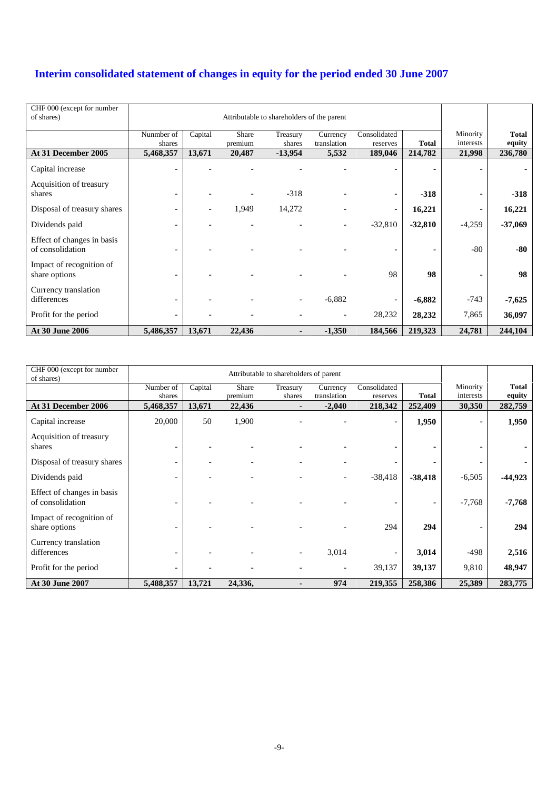# **Interim consolidated statement of changes in equity for the period ended 30 June 2007**

| CHF 000 (except for number<br>of shares)       |                          | Attributable to shareholders of the parent |                  |                    |                          |                          |              |                       |                        |
|------------------------------------------------|--------------------------|--------------------------------------------|------------------|--------------------|--------------------------|--------------------------|--------------|-----------------------|------------------------|
|                                                | Nunmber of<br>shares     | Capital                                    | Share<br>premium | Treasury<br>shares | Currency<br>translation  | Consolidated<br>reserves | <b>Total</b> | Minority<br>interests | <b>Total</b><br>equity |
| At 31 December 2005                            | 5,468,357                | 13,671                                     | 20,487           | $-13,954$          | 5,532                    | 189,046                  | 214,782      | 21,998                | 236,780                |
| Capital increase                               |                          |                                            |                  |                    |                          |                          |              |                       |                        |
| Acquisition of treasury<br>shares              | $\overline{\phantom{0}}$ |                                            |                  | $-318$             |                          | $\overline{\phantom{a}}$ | $-318$       |                       | $-318$                 |
| Disposal of treasury shares                    | -                        | $\overline{\phantom{0}}$                   | 1,949            | 14,272             |                          | $\overline{\phantom{a}}$ | 16,221       |                       | 16,221                 |
| Dividends paid                                 | $\overline{\phantom{0}}$ |                                            | ۰                |                    | $\overline{\phantom{a}}$ | $-32,810$                | $-32,810$    | $-4,259$              | $-37,069$              |
| Effect of changes in basis<br>of consolidation | -                        |                                            |                  |                    |                          | ٠                        | ۰            | $-80$                 | -80                    |
| Impact of recognition of<br>share options      | $\overline{\phantom{0}}$ |                                            |                  |                    |                          | 98                       | 98           |                       | 98                     |
| Currency translation<br>differences            |                          |                                            |                  |                    | $-6,882$                 | $\overline{\phantom{a}}$ | $-6,882$     | $-743$                | $-7,625$               |
| Profit for the period                          | $\overline{\phantom{0}}$ |                                            |                  |                    | $\overline{\phantom{a}}$ | 28,232                   | 28,232       | 7,865                 | 36,097                 |
| At 30 June 2006                                | 5,486,357                | 13,671                                     | 22,436           | $\blacksquare$     | $-1,350$                 | 184,566                  | 219,323      | 24,781                | 244,104                |

| CHF 000 (except for number<br>of shares)       |                          | Attributable to shareholders of parent |                  |                          |                         |                          |              |                       |                        |
|------------------------------------------------|--------------------------|----------------------------------------|------------------|--------------------------|-------------------------|--------------------------|--------------|-----------------------|------------------------|
|                                                | Number of<br>shares      | Capital                                | Share<br>premium | Treasury<br>shares       | Currency<br>translation | Consolidated<br>reserves | <b>Total</b> | Minority<br>interests | <b>Total</b><br>equity |
| At 31 December 2006                            | 5,468,357                | 13,671                                 | 22,436           |                          | $-2,040$                | 218,342                  | 252,409      | 30,350                | 282,759                |
| Capital increase                               | 20,000                   | 50                                     | 1,900            |                          |                         | $\overline{\phantom{a}}$ | 1,950        |                       | 1,950                  |
| Acquisition of treasury<br>shares              | $\overline{\phantom{0}}$ |                                        |                  |                          |                         | $\overline{\phantom{0}}$ |              |                       |                        |
| Disposal of treasury shares                    | $\overline{\phantom{a}}$ |                                        |                  |                          |                         | $\overline{\phantom{a}}$ |              |                       |                        |
| Dividends paid                                 | -                        |                                        |                  |                          |                         | $-38,418$                | $-38,418$    | $-6,505$              | $-44,923$              |
| Effect of changes in basis<br>of consolidation | -                        |                                        |                  |                          |                         |                          |              | $-7,768$              | $-7,768$               |
| Impact of recognition of<br>share options      | -                        |                                        |                  |                          |                         | 294                      | 294          |                       | 294                    |
| Currency translation<br>differences            | $\overline{\phantom{0}}$ |                                        |                  | $\overline{\phantom{a}}$ | 3,014                   | $\overline{\phantom{a}}$ | 3,014        | -498                  | 2,516                  |
| Profit for the period                          | -                        |                                        |                  |                          |                         | 39,137                   | 39,137       | 9,810                 | 48,947                 |
| At 30 June 2007                                | 5,488,357                | 13,721                                 | 24,336,          |                          | 974                     | 219,355                  | 258,386      | 25,389                | 283,775                |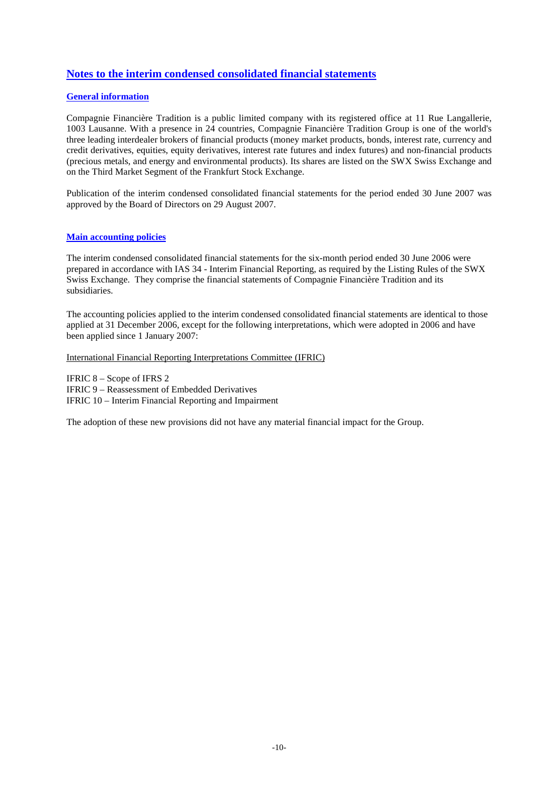# **Notes to the interim condensed consolidated financial statements**

#### **General information**

Compagnie Financière Tradition is a public limited company with its registered office at 11 Rue Langallerie, 1003 Lausanne. With a presence in 24 countries, Compagnie Financière Tradition Group is one of the world's three leading interdealer brokers of financial products (money market products, bonds, interest rate, currency and credit derivatives, equities, equity derivatives, interest rate futures and index futures) and non-financial products (precious metals, and energy and environmental products). Its shares are listed on the SWX Swiss Exchange and on the Third Market Segment of the Frankfurt Stock Exchange.

Publication of the interim condensed consolidated financial statements for the period ended 30 June 2007 was approved by the Board of Directors on 29 August 2007.

#### **Main accounting policies**

The interim condensed consolidated financial statements for the six-month period ended 30 June 2006 were prepared in accordance with IAS 34 - Interim Financial Reporting, as required by the Listing Rules of the SWX Swiss Exchange. They comprise the financial statements of Compagnie Financière Tradition and its subsidiaries.

The accounting policies applied to the interim condensed consolidated financial statements are identical to those applied at 31 December 2006, except for the following interpretations, which were adopted in 2006 and have been applied since 1 January 2007:

#### International Financial Reporting Interpretations Committee (IFRIC)

IFRIC 8 – Scope of IFRS 2 IFRIC 9 – Reassessment of Embedded Derivatives IFRIC 10 – Interim Financial Reporting and Impairment

The adoption of these new provisions did not have any material financial impact for the Group.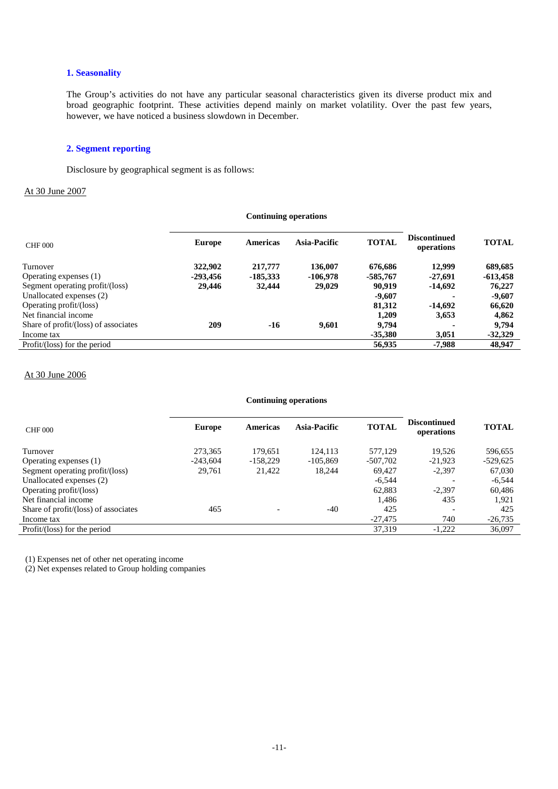#### **1. Seasonality**

The Group's activities do not have any particular seasonal characteristics given its diverse product mix and broad geographic footprint. These activities depend mainly on market volatility. Over the past few years, however, we have noticed a business slowdown in December.

#### **2. Segment reporting**

Disclosure by geographical segment is as follows:

#### At 30 June 2007

| <b>Continuing operations</b>         |               |                 |              |              |                                   |              |
|--------------------------------------|---------------|-----------------|--------------|--------------|-----------------------------------|--------------|
| <b>CHF 000</b>                       | <b>Europe</b> | <b>Americas</b> | Asia-Pacific | <b>TOTAL</b> | <b>Discontinued</b><br>operations | <b>TOTAL</b> |
| Turnover                             | 322,902       | 217,777         | 136,007      | 676,686      | 12.999                            | 689,685      |
| Operating expenses (1)               | $-293,456$    | $-185,333$      | $-106,978$   | $-585,767$   | $-27,691$                         | $-613,458$   |
| Segment operating profit/(loss)      | 29,446        | 32,444          | 29,029       | 90.919       | $-14.692$                         | 76,227       |
| Unallocated expenses (2)             |               |                 |              | $-9,607$     |                                   | $-9,607$     |
| Operating profit/(loss)              |               |                 |              | 81,312       | $-14.692$                         | 66,620       |
| Net financial income                 |               |                 |              | 1,209        | 3,653                             | 4,862        |
| Share of profit/(loss) of associates | 209           | $-16$           | 9.601        | 9,794        |                                   | 9,794        |
| Income tax                           |               |                 |              | $-35.380$    | 3,051                             | $-32,329$    |
| Profit/(loss) for the period         |               |                 |              | 56,935       | $-7.988$                          | 48.947       |

#### At 30 June 2006

#### **Continuing operations**

| <b>CHF 000</b>                         | <b>Europe</b> | <b>Americas</b>          | Asia-Pacific | <b>TOTAL</b> | <b>Discontinued</b><br>operations | <b>TOTAL</b> |
|----------------------------------------|---------------|--------------------------|--------------|--------------|-----------------------------------|--------------|
| Turnover                               | 273,365       | 179,651                  | 124.113      | 577,129      | 19.526                            | 596,655      |
| Operating expenses (1)                 | $-243.604$    | $-158.229$               | $-105.869$   | $-507,702$   | $-21.923$                         | $-529,625$   |
| Segment operating profit/(loss)        | 29,761        | 21,422                   | 18.244       | 69.427       | $-2.397$                          | 67,030       |
| Unallocated expenses (2)               |               |                          |              | $-6,544$     |                                   | $-6,544$     |
| Operating profit/(loss)                |               |                          |              | 62,883       | $-2.397$                          | 60,486       |
| Net financial income                   |               |                          |              | 1.486        | 435                               | 1.921        |
| Share of profit/(loss) of associates   | 465           | $\overline{\phantom{a}}$ | $-40$        | 425          |                                   | 425          |
| Income tax                             |               |                          |              | $-27,475$    | 740                               | $-26,735$    |
| Profit/ $(\text{loss})$ for the period |               |                          |              | 37,319       | $-1,222$                          | 36,097       |

(1) Expenses net of other net operating income

(2) Net expenses related to Group holding companies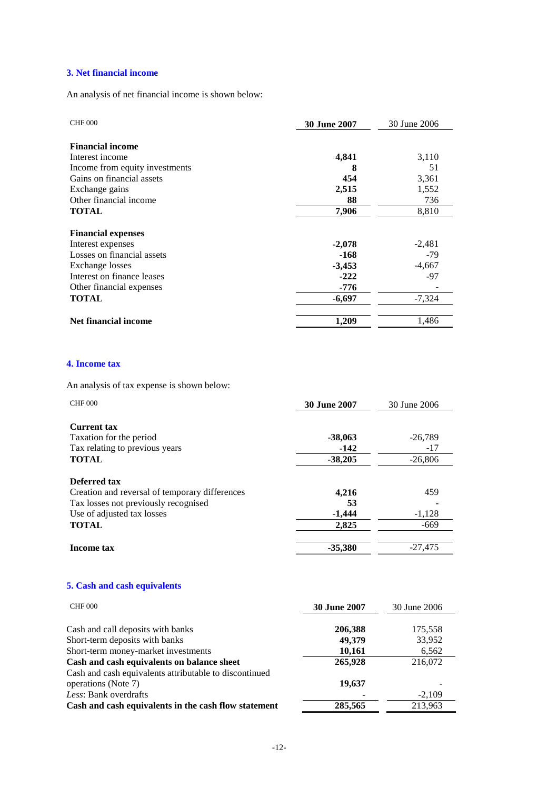### **3. Net financial income**

An analysis of net financial income is shown below:

| <b>CHF 000</b>                 | <b>30 June 2007</b> | 30 June 2006 |
|--------------------------------|---------------------|--------------|
|                                |                     |              |
| <b>Financial income</b>        |                     |              |
| Interest income                | 4,841               | 3,110        |
| Income from equity investments | 8                   | 51           |
| Gains on financial assets      | 454                 | 3,361        |
| Exchange gains                 | 2,515               | 1,552        |
| Other financial income         | 88                  | 736          |
| <b>TOTAL</b>                   | 7,906               | 8,810        |
|                                |                     |              |
| <b>Financial expenses</b>      |                     |              |
| Interest expenses              | $-2,078$            | $-2,481$     |
| Losses on financial assets     | -168                | $-79$        |
| Exchange losses                | $-3,453$            | $-4,667$     |
| Interest on finance leases     | $-222$              | -97          |
| Other financial expenses       | -776                |              |
| <b>TOTAL</b>                   | $-6,697$            | $-7,324$     |
| Net financial income           | 1,209               | 1,486        |

#### **4. Income tax**

An analysis of tax expense is shown below:

| <b>CHF 000</b>                                                                                                                                              | <b>30 June 2007</b>              | 30 June 2006                    |
|-------------------------------------------------------------------------------------------------------------------------------------------------------------|----------------------------------|---------------------------------|
| <b>Current tax</b><br>Taxation for the period<br>Tax relating to previous years<br><b>TOTAL</b>                                                             | $-38,063$<br>$-142$<br>$-38,205$ | $-26,789$<br>$-17$<br>$-26,806$ |
| <b>Deferred tax</b><br>Creation and reversal of temporary differences<br>Tax losses not previously recognised<br>Use of adjusted tax losses<br><b>TOTAL</b> | 4,216<br>53<br>$-1,444$<br>2,825 | 459<br>$-1,128$<br>$-669$       |
| Income tax                                                                                                                                                  | $-35,380$                        | $-27,475$                       |

# **5. Cash and cash equivalents**

| <b>CHF 000</b>                                         | <b>30 June 2007</b> | 30 June 2006 |
|--------------------------------------------------------|---------------------|--------------|
| Cash and call deposits with banks                      | 206,388             | 175,558      |
| Short-term deposits with banks                         | 49,379              | 33,952       |
| Short-term money-market investments                    | 10,161              | 6,562        |
| Cash and cash equivalents on balance sheet             | 265,928             | 216,072      |
| Cash and cash equivalents attributable to discontinued |                     |              |
| operations (Note 7)                                    | 19,637              |              |
| Less: Bank overdrafts                                  |                     | $-2,109$     |
| Cash and cash equivalents in the cash flow statement   | 285,565             | 213,963      |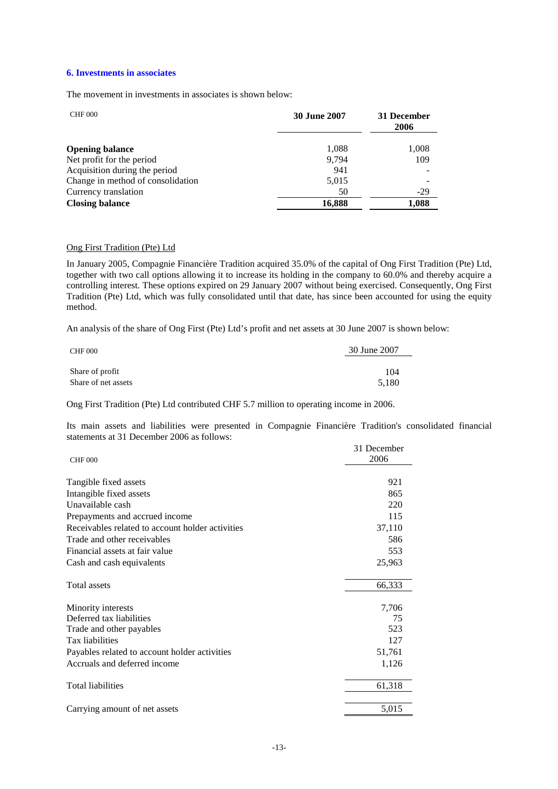#### **6. Investments in associates**

The movement in investments in associates is shown below:

| <b>CHF 000</b>                    | <b>30 June 2007</b> | 31 December<br>2006 |
|-----------------------------------|---------------------|---------------------|
| <b>Opening balance</b>            | 1,088               | 1,008               |
| Net profit for the period         | 9.794               | 109                 |
| Acquisition during the period     | 941                 |                     |
| Change in method of consolidation | 5,015               |                     |
| Currency translation              | 50                  | $-29$               |
| <b>Closing balance</b>            | 16,888              | 1,088               |

#### Ong First Tradition (Pte) Ltd

In January 2005, Compagnie Financière Tradition acquired 35.0% of the capital of Ong First Tradition (Pte) Ltd, together with two call options allowing it to increase its holding in the company to 60.0% and thereby acquire a controlling interest. These options expired on 29 January 2007 without being exercised. Consequently, Ong First Tradition (Pte) Ltd, which was fully consolidated until that date, has since been accounted for using the equity method.

An analysis of the share of Ong First (Pte) Ltd's profit and net assets at 30 June 2007 is shown below:

| <b>CHF 000</b>      | 30 June 2007 |
|---------------------|--------------|
|                     | 104          |
| Share of profit     |              |
| Share of net assets | 5.180        |

Ong First Tradition (Pte) Ltd contributed CHF 5.7 million to operating income in 2006.

Its main assets and liabilities were presented in Compagnie Financière Tradition's consolidated financial statements at 31 December 2006 as follows:  $21$  December

|                                                  | 31 December |
|--------------------------------------------------|-------------|
| <b>CHF 000</b>                                   | 2006        |
|                                                  |             |
| Tangible fixed assets                            | 921         |
| Intangible fixed assets                          | 865         |
| Unavailable cash                                 | 220         |
| Prepayments and accrued income                   | 115         |
| Receivables related to account holder activities | 37,110      |
| Trade and other receivables                      | 586         |
| Financial assets at fair value                   | 553         |
| Cash and cash equivalents                        | 25,963      |
|                                                  |             |
| <b>Total assets</b>                              | 66,333      |
|                                                  |             |
| Minority interests                               | 7,706       |
| Deferred tax liabilities                         | 75          |
| Trade and other payables                         | 523         |
| Tax liabilities                                  | 127         |
| Payables related to account holder activities    | 51,761      |
| Accruals and deferred income                     | 1,126       |
|                                                  |             |
| <b>Total liabilities</b>                         | 61,318      |
|                                                  |             |
| Carrying amount of net assets                    | 5,015       |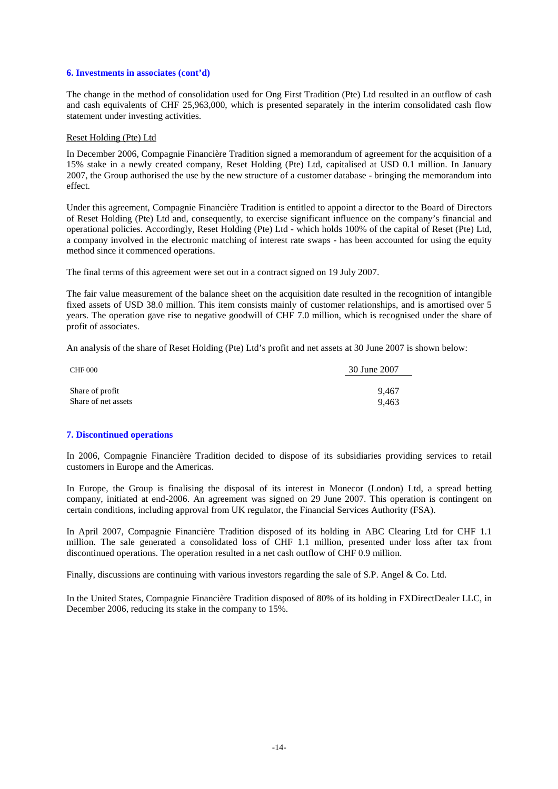#### **6. Investments in associates (cont'd)**

The change in the method of consolidation used for Ong First Tradition (Pte) Ltd resulted in an outflow of cash and cash equivalents of CHF 25,963,000, which is presented separately in the interim consolidated cash flow statement under investing activities.

#### Reset Holding (Pte) Ltd

In December 2006, Compagnie Financière Tradition signed a memorandum of agreement for the acquisition of a 15% stake in a newly created company, Reset Holding (Pte) Ltd, capitalised at USD 0.1 million. In January 2007, the Group authorised the use by the new structure of a customer database - bringing the memorandum into effect.

Under this agreement, Compagnie Financière Tradition is entitled to appoint a director to the Board of Directors of Reset Holding (Pte) Ltd and, consequently, to exercise significant influence on the company's financial and operational policies. Accordingly, Reset Holding (Pte) Ltd - which holds 100% of the capital of Reset (Pte) Ltd, a company involved in the electronic matching of interest rate swaps - has been accounted for using the equity method since it commenced operations.

The final terms of this agreement were set out in a contract signed on 19 July 2007.

The fair value measurement of the balance sheet on the acquisition date resulted in the recognition of intangible fixed assets of USD 38.0 million. This item consists mainly of customer relationships, and is amortised over 5 years. The operation gave rise to negative goodwill of CHF 7.0 million, which is recognised under the share of profit of associates.

An analysis of the share of Reset Holding (Pte) Ltd's profit and net assets at 30 June 2007 is shown below:

| <b>CHF 000</b>      | 30 June 2007 |
|---------------------|--------------|
| Share of profit     | 9.467        |
| Share of net assets | 9.463        |

#### **7. Discontinued operations**

In 2006, Compagnie Financière Tradition decided to dispose of its subsidiaries providing services to retail customers in Europe and the Americas.

In Europe, the Group is finalising the disposal of its interest in Monecor (London) Ltd, a spread betting company, initiated at end-2006. An agreement was signed on 29 June 2007. This operation is contingent on certain conditions, including approval from UK regulator, the Financial Services Authority (FSA).

In April 2007, Compagnie Financière Tradition disposed of its holding in ABC Clearing Ltd for CHF 1.1 million. The sale generated a consolidated loss of CHF 1.1 million, presented under loss after tax from discontinued operations. The operation resulted in a net cash outflow of CHF 0.9 million.

Finally, discussions are continuing with various investors regarding the sale of S.P. Angel & Co. Ltd.

In the United States, Compagnie Financière Tradition disposed of 80% of its holding in FXDirectDealer LLC, in December 2006, reducing its stake in the company to 15%.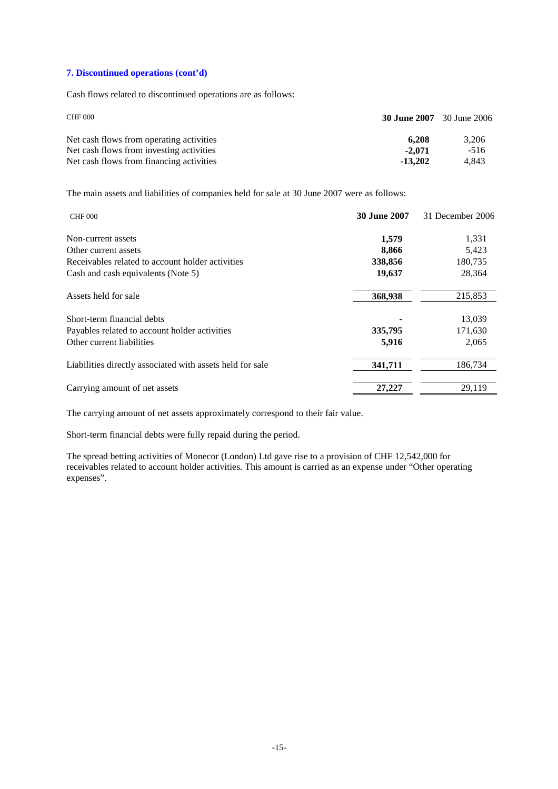#### **7. Discontinued operations (cont'd)**

Cash flows related to discontinued operations are as follows:

| <b>CHF 000</b>                                                                       | <b>30 June 2007</b> 30 June 2006 |                 |
|--------------------------------------------------------------------------------------|----------------------------------|-----------------|
| Net cash flows from operating activities                                             | 6.208                            | 3.206           |
| Net cash flows from investing activities<br>Net cash flows from financing activities | $-2.071$<br>$-13,202$            | $-516$<br>4.843 |

The main assets and liabilities of companies held for sale at 30 June 2007 were as follows:

| <b>CHF 000</b>                                            | <b>30 June 2007</b> | 31 December 2006 |
|-----------------------------------------------------------|---------------------|------------------|
| Non-current assets                                        | 1,579               | 1,331            |
| Other current assets                                      | 8,866               | 5,423            |
| Receivables related to account holder activities          | 338,856             | 180,735          |
| Cash and cash equivalents (Note 5)                        | 19,637              | 28,364           |
| Assets held for sale                                      | 368,938             | 215,853          |
| Short-term financial debts                                |                     | 13,039           |
| Payables related to account holder activities             | 335,795             | 171,630          |
| Other current liabilities                                 | 5,916               | 2,065            |
| Liabilities directly associated with assets held for sale | 341,711             | 186,734          |
| Carrying amount of net assets                             | 27,227              | 29,119           |

The carrying amount of net assets approximately correspond to their fair value.

Short-term financial debts were fully repaid during the period.

The spread betting activities of Monecor (London) Ltd gave rise to a provision of CHF 12,542,000 for receivables related to account holder activities. This amount is carried as an expense under "Other operating expenses".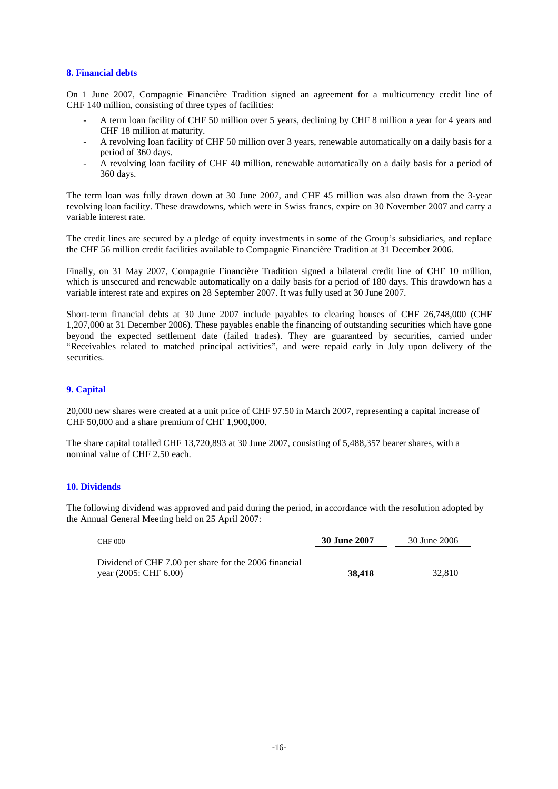#### **8. Financial debts**

On 1 June 2007, Compagnie Financière Tradition signed an agreement for a multicurrency credit line of CHF 140 million, consisting of three types of facilities:

- A term loan facility of CHF 50 million over 5 years, declining by CHF 8 million a year for 4 years and CHF 18 million at maturity.
- A revolving loan facility of CHF 50 million over 3 years, renewable automatically on a daily basis for a period of 360 days.
- A revolving loan facility of CHF 40 million, renewable automatically on a daily basis for a period of 360 days.

The term loan was fully drawn down at 30 June 2007, and CHF 45 million was also drawn from the 3-year revolving loan facility. These drawdowns, which were in Swiss francs, expire on 30 November 2007 and carry a variable interest rate.

The credit lines are secured by a pledge of equity investments in some of the Group's subsidiaries, and replace the CHF 56 million credit facilities available to Compagnie Financière Tradition at 31 December 2006.

Finally, on 31 May 2007, Compagnie Financière Tradition signed a bilateral credit line of CHF 10 million, which is unsecured and renewable automatically on a daily basis for a period of 180 days. This drawdown has a variable interest rate and expires on 28 September 2007. It was fully used at 30 June 2007.

Short-term financial debts at 30 June 2007 include payables to clearing houses of CHF 26,748,000 (CHF 1,207,000 at 31 December 2006). These payables enable the financing of outstanding securities which have gone beyond the expected settlement date (failed trades). They are guaranteed by securities, carried under "Receivables related to matched principal activities", and were repaid early in July upon delivery of the securities.

#### **9. Capital**

20,000 new shares were created at a unit price of CHF 97.50 in March 2007, representing a capital increase of CHF 50,000 and a share premium of CHF 1,900,000.

The share capital totalled CHF 13,720,893 at 30 June 2007, consisting of 5,488,357 bearer shares, with a nominal value of CHF 2.50 each.

#### **10. Dividends**

The following dividend was approved and paid during the period, in accordance with the resolution adopted by the Annual General Meeting held on 25 April 2007:

| <b>CHF 000</b>                                        | 30 June 2007 | 30 June 2006 |
|-------------------------------------------------------|--------------|--------------|
| Dividend of CHF 7.00 per share for the 2006 financial |              |              |
| year $(2005:$ CHF $6.00)$                             | 38.418       | 32.810       |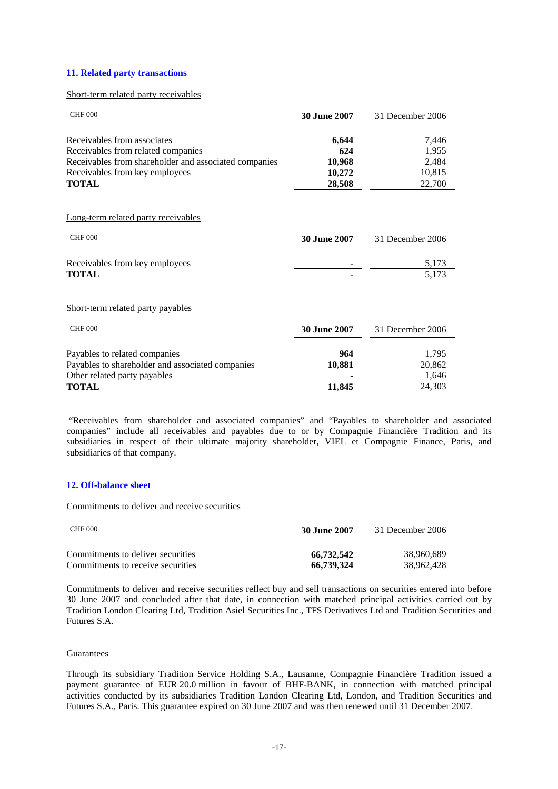#### **11. Related party transactions**

#### Short-term related party receivables

| <b>CHF 000</b>                                        | <b>30 June 2007</b> | 31 December 2006 |
|-------------------------------------------------------|---------------------|------------------|
| Receivables from associates                           | 6,644               | 7,446            |
| Receivables from related companies                    | 624                 | 1,955            |
| Receivables from shareholder and associated companies | 10,968              | 2,484            |
| Receivables from key employees                        | 10,272              | 10,815           |
| <b>TOTAL</b>                                          | 28,508              | 22,700           |
| Long-term related party receivables                   |                     |                  |
| <b>CHF 000</b>                                        | <b>30 June 2007</b> | 31 December 2006 |
| Receivables from key employees                        |                     | 5,173            |
| <b>TOTAL</b>                                          |                     | 5,173            |
| Short-term related party payables                     |                     |                  |
| <b>CHF 000</b>                                        | <b>30 June 2007</b> | 31 December 2006 |
| Payables to related companies                         | 964                 | 1,795            |
| Payables to shareholder and associated companies      | 10,881              | 20,862           |
| Other related party payables                          |                     | 1,646            |
| <b>TOTAL</b>                                          | 11,845              | 24,303           |

 "Receivables from shareholder and associated companies" and "Payables to shareholder and associated companies" include all receivables and payables due to or by Compagnie Financière Tradition and its subsidiaries in respect of their ultimate majority shareholder, VIEL et Compagnie Finance, Paris, and subsidiaries of that company.

#### **12. Off-balance sheet**

Commitments to deliver and receive securities

| CHF 000                           | <b>30 June 2007</b> | 31 December 2006 |  |
|-----------------------------------|---------------------|------------------|--|
| Commitments to deliver securities | 66.732.542          | 38.960.689       |  |
| Commitments to receive securities | 66,739,324          | 38.962.428       |  |

Commitments to deliver and receive securities reflect buy and sell transactions on securities entered into before 30 June 2007 and concluded after that date, in connection with matched principal activities carried out by Tradition London Clearing Ltd, Tradition Asiel Securities Inc., TFS Derivatives Ltd and Tradition Securities and Futures S.A.

#### Guarantees

Through its subsidiary Tradition Service Holding S.A., Lausanne, Compagnie Financière Tradition issued a payment guarantee of EUR 20.0 million in favour of BHF-BANK, in connection with matched principal activities conducted by its subsidiaries Tradition London Clearing Ltd, London, and Tradition Securities and Futures S.A., Paris. This guarantee expired on 30 June 2007 and was then renewed until 31 December 2007.